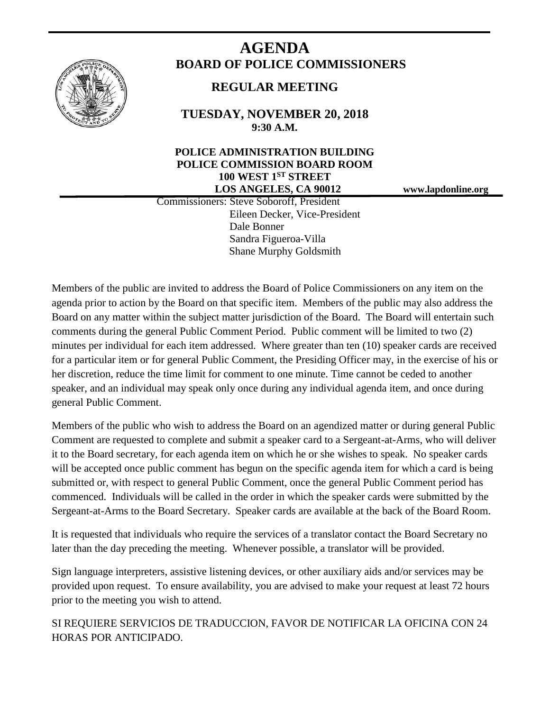

# **AGENDA BOARD OF POLICE COMMISSIONERS**

# **REGULAR MEETING**

**TUESDAY, NOVEMBER 20, 2018 9:30 A.M.**

### **POLICE ADMINISTRATION BUILDING POLICE COMMISSION BOARD ROOM 100 WEST 1ST STREET LOS ANGELES, CA 90012 www.lapdonline.org**

 Commissioners: Steve Soboroff, President Eileen Decker, Vice-President Dale Bonner Sandra Figueroa-Villa Shane Murphy Goldsmith

Members of the public are invited to address the Board of Police Commissioners on any item on the agenda prior to action by the Board on that specific item. Members of the public may also address the Board on any matter within the subject matter jurisdiction of the Board. The Board will entertain such comments during the general Public Comment Period. Public comment will be limited to two (2) minutes per individual for each item addressed. Where greater than ten (10) speaker cards are received for a particular item or for general Public Comment, the Presiding Officer may, in the exercise of his or her discretion, reduce the time limit for comment to one minute. Time cannot be ceded to another speaker, and an individual may speak only once during any individual agenda item, and once during general Public Comment.

Members of the public who wish to address the Board on an agendized matter or during general Public Comment are requested to complete and submit a speaker card to a Sergeant-at-Arms, who will deliver it to the Board secretary, for each agenda item on which he or she wishes to speak. No speaker cards will be accepted once public comment has begun on the specific agenda item for which a card is being submitted or, with respect to general Public Comment, once the general Public Comment period has commenced. Individuals will be called in the order in which the speaker cards were submitted by the Sergeant-at-Arms to the Board Secretary. Speaker cards are available at the back of the Board Room.

It is requested that individuals who require the services of a translator contact the Board Secretary no later than the day preceding the meeting. Whenever possible, a translator will be provided.

Sign language interpreters, assistive listening devices, or other auxiliary aids and/or services may be provided upon request. To ensure availability, you are advised to make your request at least 72 hours prior to the meeting you wish to attend.

SI REQUIERE SERVICIOS DE TRADUCCION, FAVOR DE NOTIFICAR LA OFICINA CON 24 HORAS POR ANTICIPADO.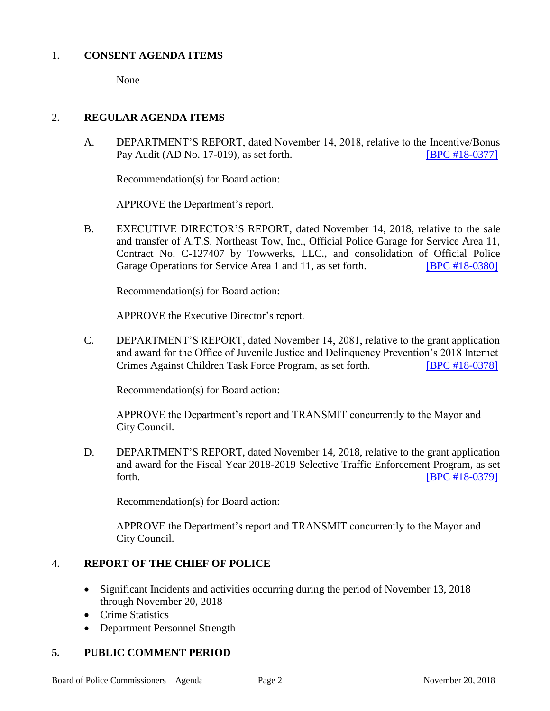#### 1. **CONSENT AGENDA ITEMS**

None

#### 2. **REGULAR AGENDA ITEMS**

A. DEPARTMENT'S REPORT, dated November 14, 2018, relative to the Incentive/Bonus Pay Audit (AD No. 17-019), as set forth. [\[BPC #18-0377\]](http://www.lapdpolicecom.lacity.org/112018/BPC_18-0377.pdf)

Recommendation(s) for Board action:

APPROVE the Department's report.

B. EXECUTIVE DIRECTOR'S REPORT, dated November 14, 2018, relative to the sale and transfer of A.T.S. Northeast Tow, Inc., Official Police Garage for Service Area 11, Contract No. C-127407 by Towwerks, LLC., and consolidation of Official Police Garage Operations for Service Area 1 and 11, as set forth. **IBPC #18-03801** 

Recommendation(s) for Board action:

APPROVE the Executive Director's report.

C. DEPARTMENT'S REPORT, dated November 14, 2081, relative to the grant application and award for the Office of Juvenile Justice and Delinquency Prevention's 2018 Internet Crimes Against Children Task Force Program, as set forth. [\[BPC #18-0378\]](http://www.lapdpolicecom.lacity.org/112018/BPC_18-0378.pdf)

Recommendation(s) for Board action:

APPROVE the Department's report and TRANSMIT concurrently to the Mayor and City Council.

D. DEPARTMENT'S REPORT, dated November 14, 2018, relative to the grant application and award for the Fiscal Year 2018-2019 Selective Traffic Enforcement Program, as set forth. **IBPC #18-03791** 

Recommendation(s) for Board action:

APPROVE the Department's report and TRANSMIT concurrently to the Mayor and City Council.

# 4. **REPORT OF THE CHIEF OF POLICE**

- Significant Incidents and activities occurring during the period of November 13, 2018 through November 20, 2018
- Crime Statistics
- Department Personnel Strength

# **5. PUBLIC COMMENT PERIOD**